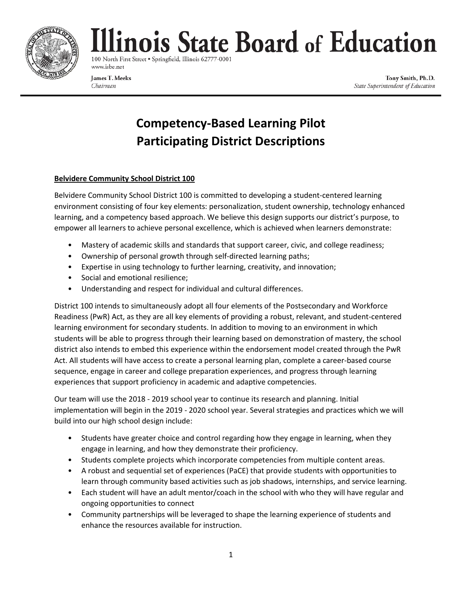

# linois State Board of Education

100 North First Street . Springfield, Illinois 62777-0001 www.isbe.net

James T. Meeks Chairman

Tony Smith, Ph.D. State Superintendent of Education

## **Competency-Based Learning Pilot Participating District Descriptions**

### **Belvidere Community School District 100**

Belvidere Community School District 100 is committed to developing a student-centered learning environment consisting of four key elements: personalization, student ownership, technology enhanced learning, and a competency based approach. We believe this design supports our district's purpose, to empower all learners to achieve personal excellence, which is achieved when learners demonstrate:

- Mastery of academic skills and standards that support career, civic, and college readiness;
- Ownership of personal growth through self-directed learning paths;
- Expertise in using technology to further learning, creativity, and innovation;
- Social and emotional resilience;
- Understanding and respect for individual and cultural differences.

District 100 intends to simultaneously adopt all four elements of the Postsecondary and Workforce Readiness (PwR) Act, as they are all key elements of providing a robust, relevant, and student-centered learning environment for secondary students. In addition to moving to an environment in which students will be able to progress through their learning based on demonstration of mastery, the school district also intends to embed this experience within the endorsement model created through the PwR Act. All students will have access to create a personal learning plan, complete a career-based course sequence, engage in career and college preparation experiences, and progress through learning experiences that support proficiency in academic and adaptive competencies.

Our team will use the 2018 - 2019 school year to continue its research and planning. Initial implementation will begin in the 2019 - 2020 school year. Several strategies and practices which we will build into our high school design include:

- Students have greater choice and control regarding how they engage in learning, when they engage in learning, and how they demonstrate their proficiency.
- Students complete projects which incorporate competencies from multiple content areas.
- A robust and sequential set of experiences (PaCE) that provide students with opportunities to learn through community based activities such as job shadows, internships, and service learning.
- Each student will have an adult mentor/coach in the school with who they will have regular and ongoing opportunities to connect
- Community partnerships will be leveraged to shape the learning experience of students and enhance the resources available for instruction.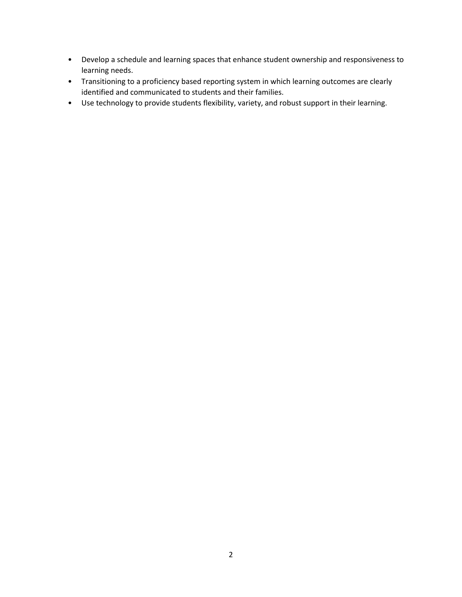- Develop a schedule and learning spaces that enhance student ownership and responsiveness to learning needs.
- Transitioning to a proficiency based reporting system in which learning outcomes are clearly identified and communicated to students and their families.
- Use technology to provide students flexibility, variety, and robust support in their learning.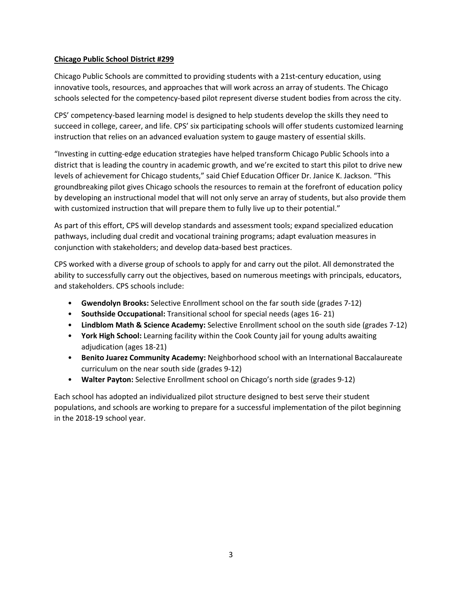#### **Chicago Public School District #299**

Chicago Public Schools are committed to providing students with a 21st-century education, using innovative tools, resources, and approaches that will work across an array of students. The Chicago schools selected for the competency-based pilot represent diverse student bodies from across the city.

CPS' competency-based learning model is designed to help students develop the skills they need to succeed in college, career, and life. CPS' six participating schools will offer students customized learning instruction that relies on an advanced evaluation system to gauge mastery of essential skills.

"Investing in cutting-edge education strategies have helped transform Chicago Public Schools into a district that is leading the country in academic growth, and we're excited to start this pilot to drive new levels of achievement for Chicago students," said Chief Education Officer Dr. Janice K. Jackson. "This groundbreaking pilot gives Chicago schools the resources to remain at the forefront of education policy by developing an instructional model that will not only serve an array of students, but also provide them with customized instruction that will prepare them to fully live up to their potential."

As part of this effort, CPS will develop standards and assessment tools; expand specialized education pathways, including dual credit and vocational training programs; adapt evaluation measures in conjunction with stakeholders; and develop data-based best practices.

CPS worked with a diverse group of schools to apply for and carry out the pilot. All demonstrated the ability to successfully carry out the objectives, based on numerous meetings with principals, educators, and stakeholders. CPS schools include:

- **Gwendolyn Brooks:** Selective Enrollment school on the far south side (grades 7-12)
- **Southside Occupational:** Transitional school for special needs (ages 16- 21)
- **Lindblom Math & Science Academy:** Selective Enrollment school on the south side (grades 7-12)
- **York High School:** Learning facility within the Cook County jail for young adults awaiting adjudication (ages 18-21)
- **Benito Juarez Community Academy:** Neighborhood school with an International Baccalaureate curriculum on the near south side (grades 9-12)
- **Walter Payton:** Selective Enrollment school on Chicago's north side (grades 9-12)

Each school has adopted an individualized pilot structure designed to best serve their student populations, and schools are working to prepare for a successful implementation of the pilot beginning in the 2018-19 school year.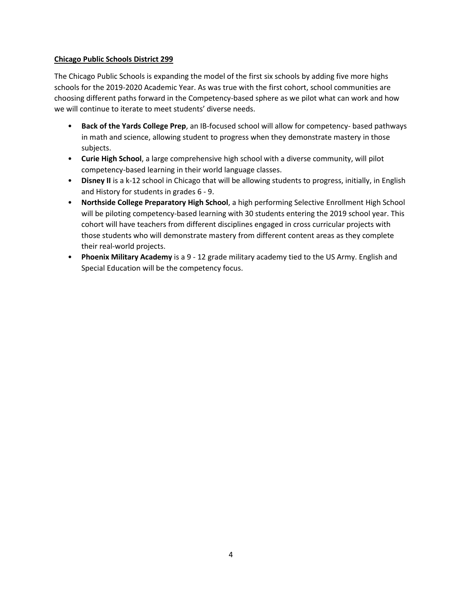#### **Chicago Public Schools District 299**

The Chicago Public Schools is expanding the model of the first six schools by adding five more highs schools for the 2019-2020 Academic Year. As was true with the first cohort, school communities are choosing different paths forward in the Competency-based sphere as we pilot what can work and how we will continue to iterate to meet students' diverse needs.

- **Back of the Yards College Prep**, an IB-focused school will allow for competency- based pathways in math and science, allowing student to progress when they demonstrate mastery in those subjects.
- **Curie High School**, a large comprehensive high school with a diverse community, will pilot competency-based learning in their world language classes.
- **Disney II** is a k-12 school in Chicago that will be allowing students to progress, initially, in English and History for students in grades 6 - 9.
- **Northside College Preparatory High School**, a high performing Selective Enrollment High School will be piloting competency-based learning with 30 students entering the 2019 school year. This cohort will have teachers from different disciplines engaged in cross curricular projects with those students who will demonstrate mastery from different content areas as they complete their real-world projects.
- **Phoenix Military Academy** is a 9 12 grade military academy tied to the US Army. English and Special Education will be the competency focus.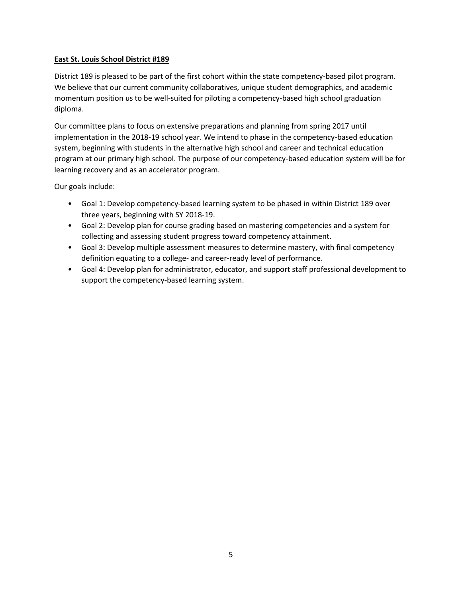#### **East St. Louis School District #189**

District 189 is pleased to be part of the first cohort within the state competency-based pilot program. We believe that our current community collaboratives, unique student demographics, and academic momentum position us to be well-suited for piloting a competency-based high school graduation diploma.

Our committee plans to focus on extensive preparations and planning from spring 2017 until implementation in the 2018-19 school year. We intend to phase in the competency-based education system, beginning with students in the alternative high school and career and technical education program at our primary high school. The purpose of our competency-based education system will be for learning recovery and as an accelerator program.

Our goals include:

- Goal 1: Develop competency-based learning system to be phased in within District 189 over three years, beginning with SY 2018-19.
- Goal 2: Develop plan for course grading based on mastering competencies and a system for collecting and assessing student progress toward competency attainment.
- Goal 3: Develop multiple assessment measures to determine mastery, with final competency definition equating to a college- and career-ready level of performance.
- Goal 4: Develop plan for administrator, educator, and support staff professional development to support the competency-based learning system.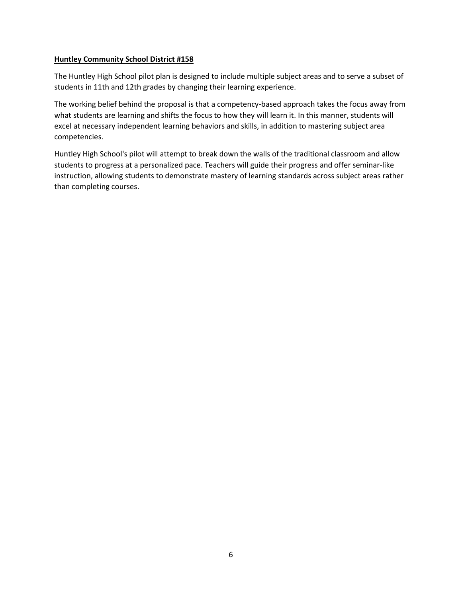#### **Huntley Community School District #158**

The Huntley High School pilot plan is designed to include multiple subject areas and to serve a subset of students in 11th and 12th grades by changing their learning experience.

The working belief behind the proposal is that a competency-based approach takes the focus away from what students are learning and shifts the focus to how they will learn it. In this manner, students will excel at necessary independent learning behaviors and skills, in addition to mastering subject area competencies.

Huntley High School's pilot will attempt to break down the walls of the traditional classroom and allow students to progress at a personalized pace. Teachers will guide their progress and offer seminar-like instruction, allowing students to demonstrate mastery of learning standards across subject areas rather than completing courses.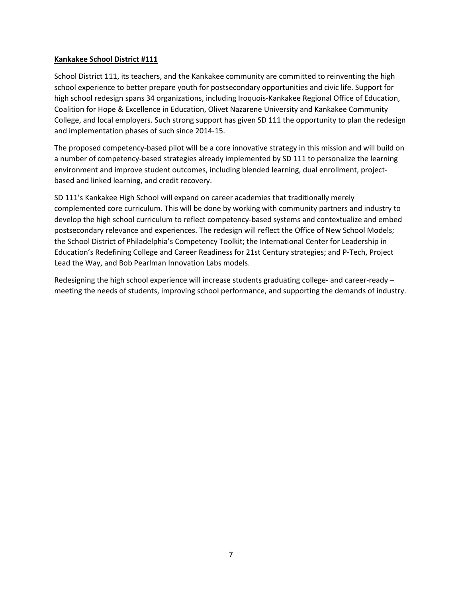#### **Kankakee School District #111**

School District 111, its teachers, and the Kankakee community are committed to reinventing the high school experience to better prepare youth for postsecondary opportunities and civic life. Support for high school redesign spans 34 organizations, including Iroquois-Kankakee Regional Office of Education, Coalition for Hope & Excellence in Education, Olivet Nazarene University and Kankakee Community College, and local employers. Such strong support has given SD 111 the opportunity to plan the redesign and implementation phases of such since 2014-15.

The proposed competency-based pilot will be a core innovative strategy in this mission and will build on a number of competency-based strategies already implemented by SD 111 to personalize the learning environment and improve student outcomes, including blended learning, dual enrollment, projectbased and linked learning, and credit recovery.

SD 111's Kankakee High School will expand on career academies that traditionally merely complemented core curriculum. This will be done by working with community partners and industry to develop the high school curriculum to reflect competency-based systems and contextualize and embed postsecondary relevance and experiences. The redesign will reflect the Office of New School Models; the School District of Philadelphia's Competency Toolkit; the International Center for Leadership in Education's Redefining College and Career Readiness for 21st Century strategies; and P-Tech, Project Lead the Way, and Bob Pearlman Innovation Labs models.

Redesigning the high school experience will increase students graduating college- and career-ready – meeting the needs of students, improving school performance, and supporting the demands of industry.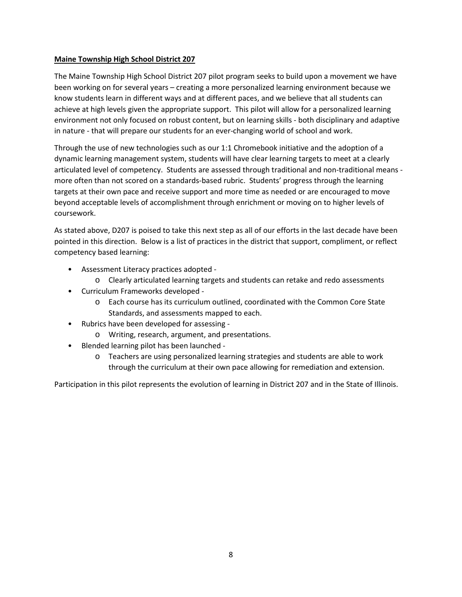#### **Maine Township High School District 207**

The Maine Township High School District 207 pilot program seeks to build upon a movement we have been working on for several years – creating a more personalized learning environment because we know students learn in different ways and at different paces, and we believe that all students can achieve at high levels given the appropriate support. This pilot will allow for a personalized learning environment not only focused on robust content, but on learning skills - both disciplinary and adaptive in nature - that will prepare our students for an ever-changing world of school and work.

Through the use of new technologies such as our 1:1 Chromebook initiative and the adoption of a dynamic learning management system, students will have clear learning targets to meet at a clearly articulated level of competency. Students are assessed through traditional and non-traditional means more often than not scored on a standards-based rubric. Students' progress through the learning targets at their own pace and receive support and more time as needed or are encouraged to move beyond acceptable levels of accomplishment through enrichment or moving on to higher levels of coursework.

As stated above, D207 is poised to take this next step as all of our efforts in the last decade have been pointed in this direction. Below is a list of practices in the district that support, compliment, or reflect competency based learning:

- Assessment Literacy practices adopted
	- o Clearly articulated learning targets and students can retake and redo assessments
- Curriculum Frameworks developed
	- o Each course has its curriculum outlined, coordinated with the Common Core State Standards, and assessments mapped to each.
- Rubrics have been developed for assessing
	- o Writing, research, argument, and presentations.
- Blended learning pilot has been launched
	- o Teachers are using personalized learning strategies and students are able to work through the curriculum at their own pace allowing for remediation and extension.

Participation in this pilot represents the evolution of learning in District 207 and in the State of Illinois.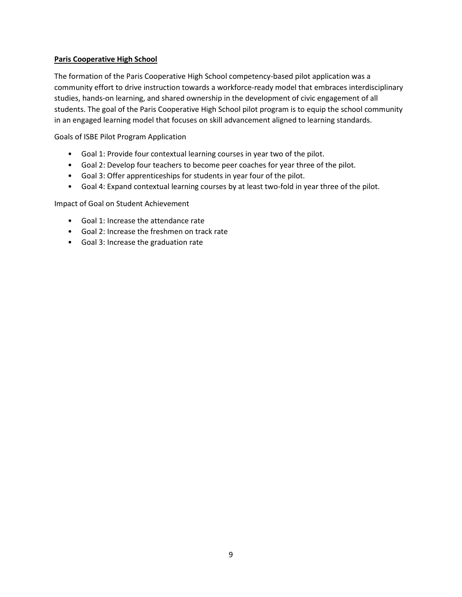#### **Paris Cooperative High School**

The formation of the Paris Cooperative High School competency-based pilot application was a community effort to drive instruction towards a workforce-ready model that embraces interdisciplinary studies, hands-on learning, and shared ownership in the development of civic engagement of all students. The goal of the Paris Cooperative High School pilot program is to equip the school community in an engaged learning model that focuses on skill advancement aligned to learning standards.

Goals of ISBE Pilot Program Application

- Goal 1: Provide four contextual learning courses in year two of the pilot.
- Goal 2: Develop four teachers to become peer coaches for year three of the pilot.
- Goal 3: Offer apprenticeships for students in year four of the pilot.
- Goal 4: Expand contextual learning courses by at least two-fold in year three of the pilot.

Impact of Goal on Student Achievement

- Goal 1: Increase the attendance rate
- Goal 2: Increase the freshmen on track rate
- Goal 3: Increase the graduation rate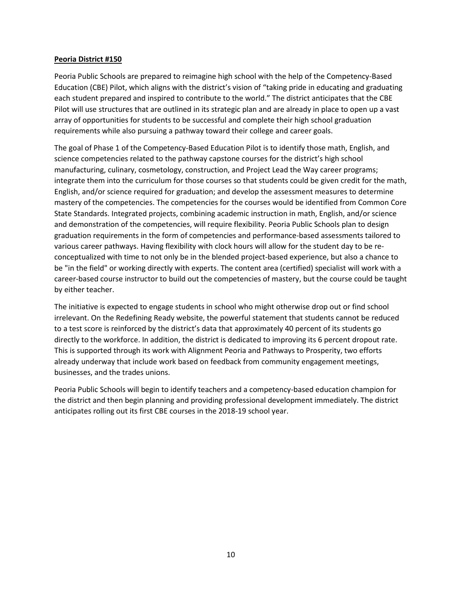#### **Peoria District #150**

Peoria Public Schools are prepared to reimagine high school with the help of the Competency-Based Education (CBE) Pilot, which aligns with the district's vision of "taking pride in educating and graduating each student prepared and inspired to contribute to the world." The district anticipates that the CBE Pilot will use structures that are outlined in its strategic plan and are already in place to open up a vast array of opportunities for students to be successful and complete their high school graduation requirements while also pursuing a pathway toward their college and career goals.

The goal of Phase 1 of the Competency-Based Education Pilot is to identify those math, English, and science competencies related to the pathway capstone courses for the district's high school manufacturing, culinary, cosmetology, construction, and Project Lead the Way career programs; integrate them into the curriculum for those courses so that students could be given credit for the math, English, and/or science required for graduation; and develop the assessment measures to determine mastery of the competencies. The competencies for the courses would be identified from Common Core State Standards. Integrated projects, combining academic instruction in math, English, and/or science and demonstration of the competencies, will require flexibility. Peoria Public Schools plan to design graduation requirements in the form of competencies and performance-based assessments tailored to various career pathways. Having flexibility with clock hours will allow for the student day to be reconceptualized with time to not only be in the blended project-based experience, but also a chance to be "in the field" or working directly with experts. The content area (certified) specialist will work with a career-based course instructor to build out the competencies of mastery, but the course could be taught by either teacher.

The initiative is expected to engage students in school who might otherwise drop out or find school irrelevant. On the Redefining Ready website, the powerful statement that students cannot be reduced to a test score is reinforced by the district's data that approximately 40 percent of its students go directly to the workforce. In addition, the district is dedicated to improving its 6 percent dropout rate. This is supported through its work with Alignment Peoria and Pathways to Prosperity, two efforts already underway that include work based on feedback from community engagement meetings, businesses, and the trades unions.

Peoria Public Schools will begin to identify teachers and a competency-based education champion for the district and then begin planning and providing professional development immediately. The district anticipates rolling out its first CBE courses in the 2018-19 school year.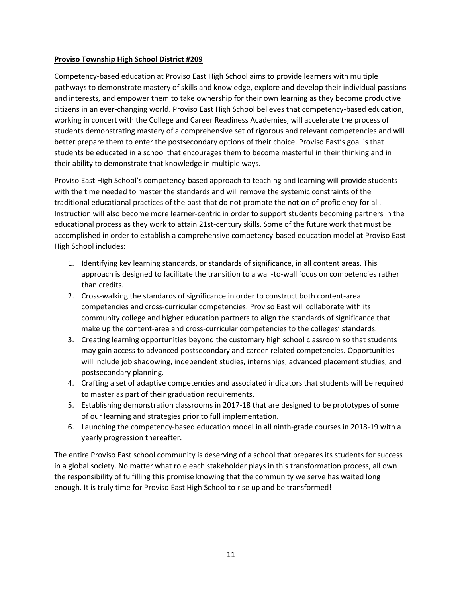#### **Proviso Township High School District #209**

Competency-based education at Proviso East High School aims to provide learners with multiple pathways to demonstrate mastery of skills and knowledge, explore and develop their individual passions and interests, and empower them to take ownership for their own learning as they become productive citizens in an ever-changing world. Proviso East High School believes that competency-based education, working in concert with the College and Career Readiness Academies, will accelerate the process of students demonstrating mastery of a comprehensive set of rigorous and relevant competencies and will better prepare them to enter the postsecondary options of their choice. Proviso East's goal is that students be educated in a school that encourages them to become masterful in their thinking and in their ability to demonstrate that knowledge in multiple ways.

Proviso East High School's competency-based approach to teaching and learning will provide students with the time needed to master the standards and will remove the systemic constraints of the traditional educational practices of the past that do not promote the notion of proficiency for all. Instruction will also become more learner-centric in order to support students becoming partners in the educational process as they work to attain 21st-century skills. Some of the future work that must be accomplished in order to establish a comprehensive competency-based education model at Proviso East High School includes:

- 1. Identifying key learning standards, or standards of significance, in all content areas. This approach is designed to facilitate the transition to a wall-to-wall focus on competencies rather than credits.
- 2. Cross-walking the standards of significance in order to construct both content-area competencies and cross-curricular competencies. Proviso East will collaborate with its community college and higher education partners to align the standards of significance that make up the content-area and cross-curricular competencies to the colleges' standards.
- 3. Creating learning opportunities beyond the customary high school classroom so that students may gain access to advanced postsecondary and career-related competencies. Opportunities will include job shadowing, independent studies, internships, advanced placement studies, and postsecondary planning.
- 4. Crafting a set of adaptive competencies and associated indicators that students will be required to master as part of their graduation requirements.
- 5. Establishing demonstration classrooms in 2017-18 that are designed to be prototypes of some of our learning and strategies prior to full implementation.
- 6. Launching the competency-based education model in all ninth-grade courses in 2018-19 with a yearly progression thereafter.

The entire Proviso East school community is deserving of a school that prepares its students for success in a global society. No matter what role each stakeholder plays in this transformation process, all own the responsibility of fulfilling this promise knowing that the community we serve has waited long enough. It is truly time for Proviso East High School to rise up and be transformed!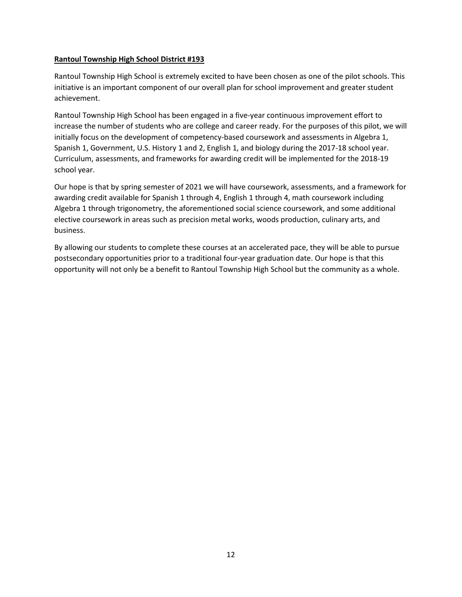#### **Rantoul Township High School District #193**

Rantoul Township High School is extremely excited to have been chosen as one of the pilot schools. This initiative is an important component of our overall plan for school improvement and greater student achievement.

Rantoul Township High School has been engaged in a five-year continuous improvement effort to increase the number of students who are college and career ready. For the purposes of this pilot, we will initially focus on the development of competency-based coursework and assessments in Algebra 1, Spanish 1, Government, U.S. History 1 and 2, English 1, and biology during the 2017-18 school year. Curriculum, assessments, and frameworks for awarding credit will be implemented for the 2018-19 school year.

Our hope is that by spring semester of 2021 we will have coursework, assessments, and a framework for awarding credit available for Spanish 1 through 4, English 1 through 4, math coursework including Algebra 1 through trigonometry, the aforementioned social science coursework, and some additional elective coursework in areas such as precision metal works, woods production, culinary arts, and business.

By allowing our students to complete these courses at an accelerated pace, they will be able to pursue postsecondary opportunities prior to a traditional four-year graduation date. Our hope is that this opportunity will not only be a benefit to Rantoul Township High School but the community as a whole.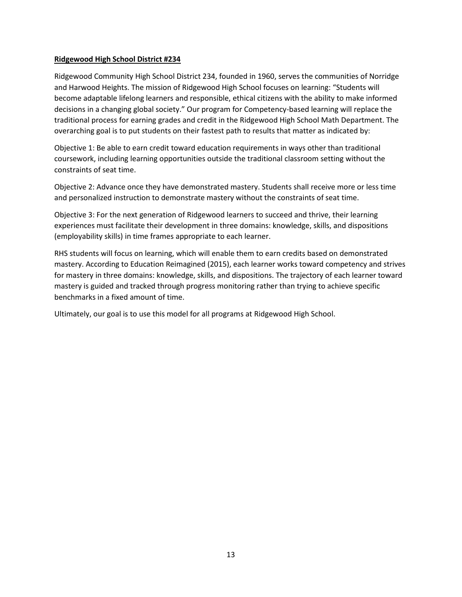#### **Ridgewood High School District #234**

Ridgewood Community High School District 234, founded in 1960, serves the communities of Norridge and Harwood Heights. The mission of Ridgewood High School focuses on learning: "Students will become adaptable lifelong learners and responsible, ethical citizens with the ability to make informed decisions in a changing global society." Our program for Competency-based learning will replace the traditional process for earning grades and credit in the Ridgewood High School Math Department. The overarching goal is to put students on their fastest path to results that matter as indicated by:

Objective 1: Be able to earn credit toward education requirements in ways other than traditional coursework, including learning opportunities outside the traditional classroom setting without the constraints of seat time.

Objective 2: Advance once they have demonstrated mastery. Students shall receive more or less time and personalized instruction to demonstrate mastery without the constraints of seat time.

Objective 3: For the next generation of Ridgewood learners to succeed and thrive, their learning experiences must facilitate their development in three domains: knowledge, skills, and dispositions (employability skills) in time frames appropriate to each learner.

RHS students will focus on learning, which will enable them to earn credits based on demonstrated mastery. According to Education Reimagined (2015), each learner works toward competency and strives for mastery in three domains: knowledge, skills, and dispositions. The trajectory of each learner toward mastery is guided and tracked through progress monitoring rather than trying to achieve specific benchmarks in a fixed amount of time.

Ultimately, our goal is to use this model for all programs at Ridgewood High School.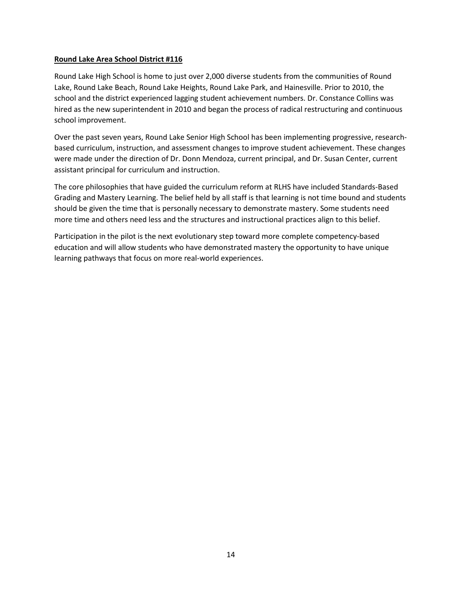#### **Round Lake Area School District #116**

Round Lake High School is home to just over 2,000 diverse students from the communities of Round Lake, Round Lake Beach, Round Lake Heights, Round Lake Park, and Hainesville. Prior to 2010, the school and the district experienced lagging student achievement numbers. Dr. Constance Collins was hired as the new superintendent in 2010 and began the process of radical restructuring and continuous school improvement.

Over the past seven years, Round Lake Senior High School has been implementing progressive, researchbased curriculum, instruction, and assessment changes to improve student achievement. These changes were made under the direction of Dr. Donn Mendoza, current principal, and Dr. Susan Center, current assistant principal for curriculum and instruction.

The core philosophies that have guided the curriculum reform at RLHS have included Standards-Based Grading and Mastery Learning. The belief held by all staff is that learning is not time bound and students should be given the time that is personally necessary to demonstrate mastery. Some students need more time and others need less and the structures and instructional practices align to this belief.

Participation in the pilot is the next evolutionary step toward more complete competency-based education and will allow students who have demonstrated mastery the opportunity to have unique learning pathways that focus on more real-world experiences.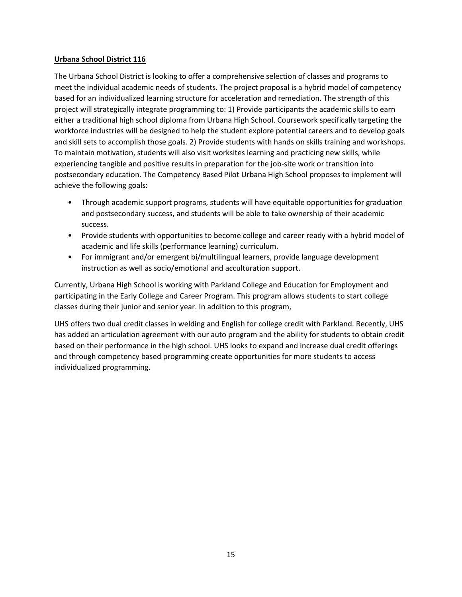#### **Urbana School District 116**

The Urbana School District is looking to offer a comprehensive selection of classes and programs to meet the individual academic needs of students. The project proposal is a hybrid model of competency based for an individualized learning structure for acceleration and remediation. The strength of this project will strategically integrate programming to: 1) Provide participants the academic skills to earn either a traditional high school diploma from Urbana High School. Coursework specifically targeting the workforce industries will be designed to help the student explore potential careers and to develop goals and skill sets to accomplish those goals. 2) Provide students with hands on skills training and workshops. To maintain motivation, students will also visit worksites learning and practicing new skills, while experiencing tangible and positive results in preparation for the job-site work or transition into postsecondary education. The Competency Based Pilot Urbana High School proposes to implement will achieve the following goals:

- Through academic support programs, students will have equitable opportunities for graduation and postsecondary success, and students will be able to take ownership of their academic success.
- Provide students with opportunities to become college and career ready with a hybrid model of academic and life skills (performance learning) curriculum.
- For immigrant and/or emergent bi/multilingual learners, provide language development instruction as well as socio/emotional and acculturation support.

Currently, Urbana High School is working with Parkland College and Education for Employment and participating in the Early College and Career Program. This program allows students to start college classes during their junior and senior year. In addition to this program,

UHS offers two dual credit classes in welding and English for college credit with Parkland. Recently, UHS has added an articulation agreement with our auto program and the ability for students to obtain credit based on their performance in the high school. UHS looks to expand and increase dual credit offerings and through competency based programming create opportunities for more students to access individualized programming.